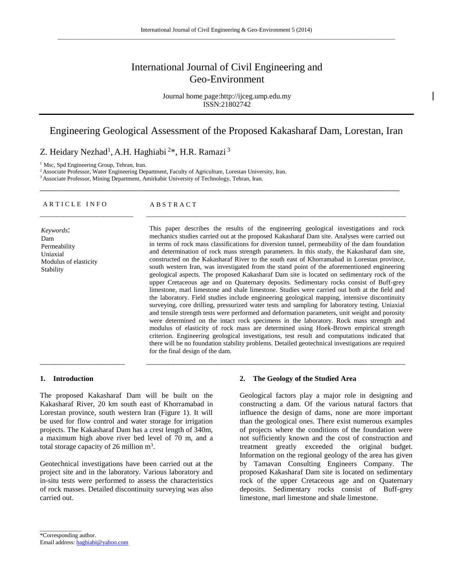# International Journal of Civil Engineering and Geo-Environment

Journal home page:http://ijceg.ump.edu.my ISSN:21802742

# Engineering Geological Assessment of the Proposed Kakasharaf Dam, Lorestan, Iran

\_\_\_\_\_\_\_\_\_\_\_\_\_\_\_\_\_\_\_\_\_\_\_\_\_\_\_\_\_\_\_\_\_\_\_\_\_\_\_\_\_\_\_\_\_\_\_\_\_\_\_\_\_\_\_\_\_\_\_\_\_\_\_\_\_\_\_\_\_\_\_\_\_\_\_\_\_\_\_\_\_

\_\_\_\_\_\_\_\_\_\_\_\_\_\_\_\_\_\_\_\_\_\_\_\_\_\_\_\_ \_\_\_\_\_\_\_\_\_\_\_\_\_\_\_\_\_\_\_\_\_\_\_\_\_\_\_\_\_\_\_\_\_\_\_\_\_\_\_\_\_\_\_\_\_\_\_\_\_\_\_\_\_\_\_\_\_\_\_\_\_\_\_\_\_\_\_\_\_\_\_\_\_\_\_\_\_\_

\_\_\_\_\_\_\_\_\_\_\_\_\_\_\_\_\_\_\_\_\_\_\_ \_\_\_\_\_\_\_\_\_\_\_\_\_\_\_\_\_\_\_\_\_\_\_\_\_\_\_\_\_\_\_\_\_\_\_\_\_\_\_\_\_\_\_\_\_\_\_\_\_\_\_\_\_\_\_\_\_\_\_\_\_\_\_\_\_\_\_\_\_\_

# Z. Heidary Nezhad<sup>1</sup>, A.H. Haghiabi<sup>2\*</sup>, H.R. Ramazi<sup>3</sup>

<sup>1</sup> Msc, Spd Engineering Group, Tehran, Iran.

<sup>2</sup>Associate Professor, Water Engineering Department, Faculty of Agriculture, Lorestan University, Iran.

<sup>3</sup> Associate Professor, Mining Department, Amirkabir University of Technology, Tehran, Iran.

#### ARTICLE INFO ABSTRACT

*Keywords*: Dam Permeability Uniaxial Modulus of elasticity Stability

This paper describes the results of the engineering geological investigations and rock mechanics studies carried out at the proposed Kakasharaf Dam site. Analyses were carried out in terms of rock mass classifications for diversion tunnel, permeability of the dam foundation and determination of rock mass strength parameters. In this study, the Kakasharaf dam site, constructed on the Kakasharaf River to the south east of Khorramabad in Lorestan province, south western Iran, was investigated from the stand point of the aforementioned engineering geological aspects. The proposed Kakasharaf Dam site is located on sedimentary rock of the upper Cretaceous age and on Quaternary deposits. Sedimentary rocks consist of Buff-grey limestone, marl limestone and shale limestone. Studies were carried out both at the field and the laboratory. Field studies include engineering geological mapping, intensive discontinuity surveying, core drilling, pressurized water tests and sampling for laboratory testing. Uniaxial and tensile strength tests were performed and deformation parameters, unit weight and porosity were determined on the intact rock specimens in the laboratory. Rock mass strength and modulus of elasticity of rock mass are determined using Hoek-Brown empirical strength criterion. Engineering geological investigations, test result and computations indicated that there will be no foundation stability problems. Detailed geotechnical investigations are required for the final design of the dam.

#### **1. Introduction**

The proposed Kakasharaf Dam will be built on the Kakasharaf River, 20 km south east of Khorramabad in Lorestan province, south western Iran (Figure 1). It will be used for flow control and water storage for irrigation projects. The Kakasharaf Dam has a crest length of 340m, a maximum high above river bed level of 70 m, and a total storage capacity of 26 million  $m^3$ .

Geotechnical investigations have been carried out at the project site and in the laboratory. Various laboratory and in-situ tests were performed to assess the characteristics of rock masses. Detailed discontinuity surveying was also carried out.

#### **2. The Geology of the Studied Area**

Geological factors play a major role in designing and constructing a dam. Of the various natural factors that influence the design of dams, none are more important than the geological ones. There exist numerous examples of projects where the conditions of the foundation were not sufficiently known and the cost of construction and treatment greatly exceeded the original budget. Information on the regional geology of the area has given by Tamavan Consulting Engineers Company. The proposed Kakasharaf Dam site is located on sedimentary rock of the upper Cretaceous age and on Quaternary deposits. Sedimentary rocks consist of Buff-grey limestone, marl limestone and shale limestone.

\_\_\_\_\_\_\_\_\_\_\_\_\_\_

<sup>\*</sup>Corresponding author. Email address[: haghiabi@yahoo.com](mailto:haghiabi@yahoo.com)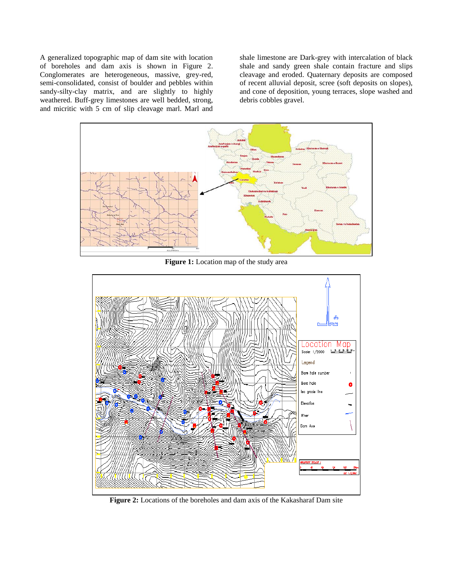A generalized topographic map of dam site with location of boreholes and dam axis is shown in Figure 2. Conglomerates are heterogeneous, massive, grey-red, semi-consolidated, consist of boulder and pebbles within sandy-silty-clay matrix, and are slightly to highly weathered. Buff-grey limestones are well bedded, strong, and micritic with 5 cm of slip cleavage marl. Marl and

shale limestone are Dark-grey with intercalation of black shale and sandy green shale contain fracture and slips cleavage and eroded. Quaternary deposits are composed of recent alluvial deposit, scree (soft deposits on slopes), and cone of deposition, young terraces, slope washed and debris cobbles gravel.



**Figure 1:** Location map of the study area



**Figure 2:** Locations of the boreholes and dam axis of the Kakasharaf Dam site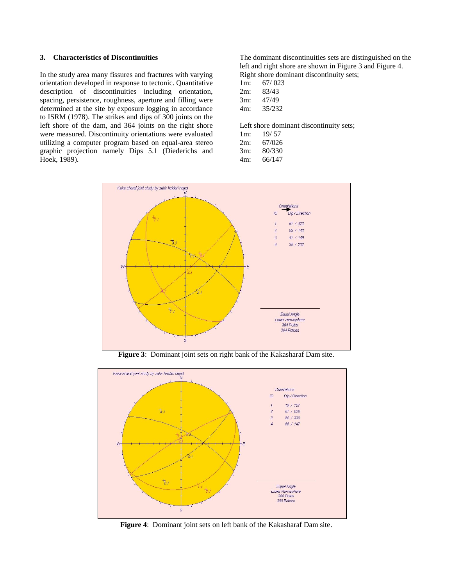#### **3. Characteristics of Discontinuities**

In the study area many fissures and fractures with varying orientation developed in response to tectonic. Quantitative description of discontinuities including orientation, spacing, persistence, roughness, aperture and filling were determined at the site by exposure logging in accordance to ISRM (1978). The strikes and dips of 300 joints on the left shore of the dam, and 364 joints on the right shore were measured. Discontinuity orientations were evaluated utilizing a computer program based on equal-area stereo graphic projection namely Dips 5.1 (Diederichs and Hoek, 1989).

The dominant discontinuities sets are distinguished on the left and right shore are shown in Figure 3 and Figure 4. Right shore dominant discontinuity sets;

| $1m$ : | 67/023 |
|--------|--------|
| 2m:    | 83/43  |
| 3m:    | 47/49  |
| 4m:    | 35/232 |
|        |        |

Left shore dominant discontinuity sets;

| 1 <sub>m</sub> | 19/57  |
|----------------|--------|
| 2m:            | 67/026 |
| $3m$ :         | 80/330 |
|                | 221117 |

4m: 66/147



**Figure 3**: Dominant joint sets on right bank of the Kakasharaf Dam site.



**Figure 4**: Dominant joint sets on left bank of the Kakasharaf Dam site.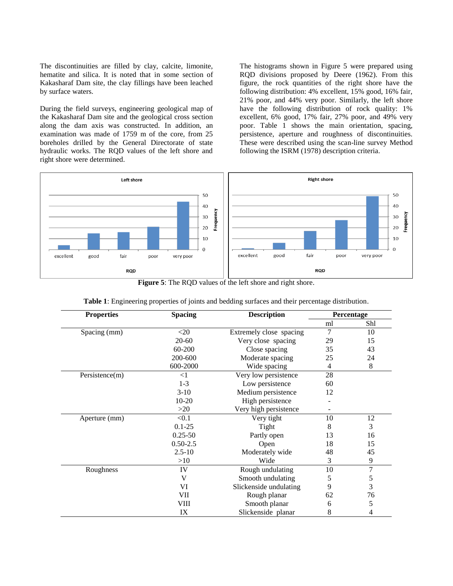The discontinuities are filled by clay, calcite, limonite, hematite and silica. It is noted that in some section of Kakasharaf Dam site, the clay fillings have been leached by surface waters.

During the field surveys, engineering geological map of the Kakasharaf Dam site and the geological cross section along the dam axis was constructed. In addition, an examination was made of 1759 m of the core, from 25 boreholes drilled by the General Directorate of state hydraulic works. The RQD values of the left shore and right shore were determined.

The histograms shown in Figure 5 were prepared using RQD divisions proposed by Deere (1962). From this figure, the rock quantities of the right shore have the following distribution: 4% excellent, 15% good, 16% fair, 21% poor, and 44% very poor. Similarly, the left shore have the following distribution of rock quality: 1% excellent, 6% good, 17% fair, 27% poor, and 49% very poor. Table 1 shows the main orientation, spacing, persistence, aperture and roughness of discontinuities. These were described using the scan-line survey Method following the ISRM (1978) description criteria.



**Figure 5**: The RQD values of the left shore and right shore.

| <b>Properties</b> | <b>Spacing</b> | <b>Description</b>      | Percentage |                |
|-------------------|----------------|-------------------------|------------|----------------|
|                   |                |                         | ml         | Shl            |
| Spacing (mm)      | $<$ 20         | Extremely close spacing | 7          | 10             |
|                   | $20 - 60$      | Very close spacing      | 29         | 15             |
|                   | 60-200         | Close spacing           | 35         | 43             |
|                   | 200-600        | Moderate spacing        | 25         | 24             |
|                   | 600-2000       | Wide spacing            | 4          | $\,8$          |
| Persistence(m)    | $\leq$ 1       | Very low persistence    | 28         |                |
|                   | $1-3$          | Low persistence         | 60         |                |
|                   | $3-10$         | Medium persistence      | 12         |                |
|                   | $10-20$        | High persistence        |            |                |
|                   | >20            | Very high persistence   |            |                |
| Aperture (mm)     | < 0.1          | Very tight              | 10         | 12             |
|                   | $0.1 - 25$     | Tight                   | 8          | 3              |
|                   | $0.25 - 50$    | Partly open             | 13         | 16             |
|                   | $0.50 - 2.5$   | Open                    | 18         | 15             |
|                   | $2.5 - 10$     | Moderately wide         | 48         | 45             |
|                   | >10            | Wide                    | 3          | 9              |
| Roughness         | IV             | Rough undulating        | 10         | $\overline{7}$ |
|                   | V              | Smooth undulating       | 5          | 5              |
|                   | VI             | Slickenside undulating  | 9          | 3              |
|                   | VII            | Rough planar            | 62         | 76             |
|                   | VIII           | Smooth planar           | 6          | 5              |
|                   | IX             | Slickenside planar      | 8          | $\overline{4}$ |

**Table 1**: Engineering properties of joints and bedding surfaces and their percentage distribution.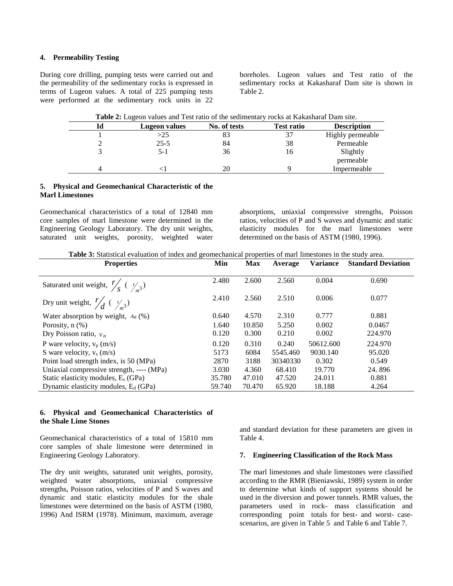## **4. Permeability Testing**

During core drilling, pumping tests were carried out and the permeability of the sedimentary rocks is expressed in terms of Lugeon values. A total of 225 pumping tests were performed at the sedimentary rock units in 22

boreholes. Lugeon values and Test ratio of the sedimentary rocks at Kakasharaf Dam site is shown in Table 2.

| Table 2: Lugeon values and Test ratio of the sedimentary rocks at Kakasharaf Dam site. |               |              |                   |                    |  |  |
|----------------------------------------------------------------------------------------|---------------|--------------|-------------------|--------------------|--|--|
| Id                                                                                     | Lugeon values | No. of tests | <b>Test ratio</b> | <b>Description</b> |  |  |
|                                                                                        | >25           | 83           | 37                | Highly permeable   |  |  |
|                                                                                        | $25 - 5$      | 84           | 38                | Permeable          |  |  |
|                                                                                        | $5-1$         | 36           | 16                | Slightly           |  |  |
|                                                                                        |               |              |                   | permeable          |  |  |
|                                                                                        |               |              |                   | Impermeable        |  |  |

## **5. Physical and Geomechanical Characteristic of the Marl Limestones**

Geomechanical characteristics of a total of 12840 mm core samples of marl limestone were determined in the Engineering Geology Laboratory. The dry unit weights, saturated unit weights, porosity, weighted water absorptions, uniaxial compressive strengths, Poisson ratios, velocities of P and S waves and dynamic and static elasticity modules for the marl limestones were determined on the basis of ASTM (1980, 1996).

**Table 3:** Statistical evaluation of index and geomechanical properties of marl limestones in the study area.

| <b>Properties</b>                                        | Min    | <b>Max</b> | Average  | <b>Variance</b> | <b>Standard Deviation</b> |
|----------------------------------------------------------|--------|------------|----------|-----------------|---------------------------|
|                                                          |        |            |          |                 |                           |
| Saturated unit weight, $\frac{r}{s}$ ( $\frac{t}{m^3}$ ) | 2.480  | 2.600      | 2.560    | 0.004           | 0.690                     |
| Dry unit weight, $\frac{r}{d}$ ( $\frac{t}{m^3}$ )       | 2.410  | 2.560      | 2.510    | 0.006           | 0.077                     |
| Water absorption by weight, $A_a$ (%)                    | 0.640  | 4.570      | 2.310    | 0.777           | 0.881                     |
| Porosity, $n$ $(\%)$                                     | 1.640  | 10.850     | 5.250    | 0.002           | 0.0467                    |
| Dry Poisson ratio, $V_n$                                 | 0.120  | 0.300      | 0.210    | 0.002           | 224.970                   |
| P ware velocity, $v_p$ (m/s)                             | 0.120  | 0.310      | 0.240    | 50612.600       | 224.970                   |
| S ware velocity, $v_s$ (m/s)                             | 5173   | 6084       | 5545.460 | 9030.140        | 95.020                    |
| Point load strength index, is 50 (MPa)                   | 2870   | 3188       | 30340330 | 0.302           | 0.549                     |
| Uniaxial compressive strength, ---- (MPa)                | 3.030  | 4.360      | 68.410   | 19.770          | 24.896                    |
| Static elasticity modules, $E_s$ (GPa)                   | 35.780 | 47.010     | 47.520   | 24.011          | 0.881                     |
| Dynamic elasticity modules, $E_d$ (GPa)                  | 59.740 | 70.470     | 65.920   | 18.188          | 4.264                     |

#### **6. Physical and Geomechanical Characteristics of the Shale Lime Stones**

Geomechanical characteristics of a total of 15810 mm core samples of shale limestone were determined in Engineering Geology Laboratory.

The dry unit weights, saturated unit weights, porosity, weighted water absorptions, uniaxial compressive strengths, Poisson ratios, velocities of P and S waves and dynamic and static elasticity modules for the shale limestones were determined on the basis of ASTM (1980, 1996) And ISRM (1978). Minimum, maximum, average and standard deviation for these parameters are given in Table 4.

## **7. Engineering Classification of the Rock Mass**

The marl limestones and shale limestones were classified according to the RMR (Bieniawski, 1989) system in order to determine what kinds of support systems should be used in the diversion and power tunnels. RMR values, the parameters used in rock- mass classification and corresponding point totals for best- and worst- casescenarios, are given in Table 5 and Table 6 and Table 7.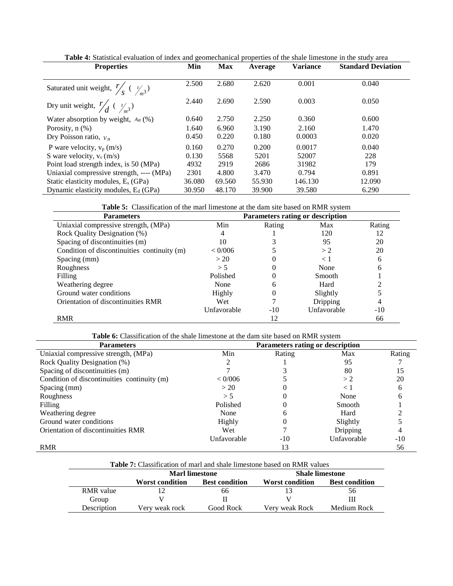| <b>Properties</b>                                        | Min    | <b>Max</b> | Average | $\mu$ , $\mu$ , $\mu$ , $\sigma$ , $\sigma$ , $\sigma$ , $\sigma$ , $\sigma$ , $\sigma$ , $\sigma$ , $\sigma$ , $\sigma$ , $\sigma$ , $\sigma$ , $\sigma$ , $\sigma$ , $\sigma$ , $\sigma$ , $\sigma$ , $\sigma$ , $\sigma$ , $\sigma$ , $\sigma$ , $\sigma$ , $\sigma$ , $\sigma$ , $\sigma$ , $\sigma$ , $\sigma$ , $\sigma$ , $\sigma$ , $\sigma$ , $\sigma$ , $\sigma$ , $\sigma$ , $\sigma$ , $\sigma$ ,<br><b>Variance</b> | <b>Standard Deviation</b> |
|----------------------------------------------------------|--------|------------|---------|----------------------------------------------------------------------------------------------------------------------------------------------------------------------------------------------------------------------------------------------------------------------------------------------------------------------------------------------------------------------------------------------------------------------------------|---------------------------|
|                                                          |        |            |         |                                                                                                                                                                                                                                                                                                                                                                                                                                  |                           |
| Saturated unit weight, $\frac{r}{s}$ ( $\frac{r}{s^3}$ ) | 2.500  | 2.680      | 2.620   | 0.001                                                                                                                                                                                                                                                                                                                                                                                                                            | 0.040                     |
| Dry unit weight, $\frac{r}{d}$ ( $\frac{t}{3}$ )         | 2.440  | 2.690      | 2.590   | 0.003                                                                                                                                                                                                                                                                                                                                                                                                                            | 0.050                     |
| Water absorption by weight, $A_a$ (%)                    | 0.640  | 2.750      | 2.250   | 0.360                                                                                                                                                                                                                                                                                                                                                                                                                            | 0.600                     |
| Porosity, $n$ $(\%)$                                     | 1.640  | 6.960      | 3.190   | 2.160                                                                                                                                                                                                                                                                                                                                                                                                                            | 1.470                     |
| Dry Poisson ratio, $V_n$                                 | 0.450  | 0.220      | 0.180   | 0.0003                                                                                                                                                                                                                                                                                                                                                                                                                           | 0.020                     |
| P ware velocity, $v_p(m/s)$                              | 0.160  | 0.270      | 0.200   | 0.0017                                                                                                                                                                                                                                                                                                                                                                                                                           | 0.040                     |
| S ware velocity, $v_s$ (m/s)                             | 0.130  | 5568       | 5201    | 52007                                                                                                                                                                                                                                                                                                                                                                                                                            | 228                       |
| Point load strength index, is 50 (MPa)                   | 4932   | 2919       | 2686    | 31982                                                                                                                                                                                                                                                                                                                                                                                                                            | 179                       |
| Uniaxial compressive strength, ---- (MPa)                | 2301   | 4.800      | 3.470   | 0.794                                                                                                                                                                                                                                                                                                                                                                                                                            | 0.891                     |
| Static elasticity modules, $E_s$ (GPa)                   | 36.080 | 69.560     | 55.930  | 146.130                                                                                                                                                                                                                                                                                                                                                                                                                          | 12.090                    |
| Dynamic elasticity modules, $E_d$ (GPa)                  | 30.950 | 48.170     | 39.900  | 39.580                                                                                                                                                                                                                                                                                                                                                                                                                           | 6.290                     |

**Table 4:** Statistical evaluation of index and geomechanical properties of the shale limestone in the study area

**Table 5:** Classification of the marl limestone at the dam site based on RMR system

| <b>Parameters</b>                           | Parameters rating or description |        |             |        |
|---------------------------------------------|----------------------------------|--------|-------------|--------|
| Uniaxial compressive strength, (MPa)        | Min                              | Rating | Max         | Rating |
| Rock Quality Designation (%)                | 4                                |        | 120         | 12     |
| Spacing of discontinuities (m)              | 10                               |        | 95          | 20     |
| Condition of discontinuities continuity (m) | < 0/006                          |        | >2          | 20     |
| Spacing (mm)                                | > 20                             |        | $\leq 1$    | 6      |
| Roughness                                   | > 5                              |        | None        | 6      |
| Filling                                     | Polished                         |        | Smooth      |        |
| Weathering degree                           | None                             | h      | Hard        |        |
| Ground water conditions                     | <b>Highly</b>                    |        | Slightly    |        |
| Orientation of discontinuities RMR          | Wet                              |        | Dripping    |        |
|                                             | Unfavorable                      | $-10$  | Unfavorable | $-10$  |
| <b>RMR</b>                                  |                                  | 12     |             | 66     |

**Table 6:** Classification of the shale limestone at the dam site based on RMR system

| <b>Parameters</b>                           | Parameters rating or description |        |             |        |  |  |
|---------------------------------------------|----------------------------------|--------|-------------|--------|--|--|
| Uniaxial compressive strength, (MPa)        | Min                              | Rating | Max         | Rating |  |  |
| Rock Quality Designation (%)                |                                  |        | 95          |        |  |  |
| Spacing of discontinuities (m)              |                                  |        | 80          | 15     |  |  |
| Condition of discontinuities continuity (m) | < 0/006                          |        | >2          | 20     |  |  |
| Spacing (mm)                                | >20                              |        | $\leq 1$    | n      |  |  |
| Roughness                                   | > 5                              |        | None        |        |  |  |
| Filling                                     | Polished                         |        | Smooth      |        |  |  |
| Weathering degree                           | None                             |        | Hard        |        |  |  |
| Ground water conditions                     | Highly                           |        | Slightly    |        |  |  |
| Orientation of discontinuities RMR          | Wet                              |        | Dripping    |        |  |  |
|                                             | Unfavorable                      | $-10$  | Unfavorable | $-10$  |  |  |
| <b>RMR</b>                                  |                                  | 13     |             | 56     |  |  |

| <b>Table 7:</b> Classification of marl and shale limestone based on RMR values |                                          |                       |                        |                       |  |  |  |
|--------------------------------------------------------------------------------|------------------------------------------|-----------------------|------------------------|-----------------------|--|--|--|
|                                                                                | Marl limestone<br><b>Shale limestone</b> |                       |                        |                       |  |  |  |
|                                                                                | <b>Worst condition</b>                   | <b>Best condition</b> | <b>Worst condition</b> | <b>Best condition</b> |  |  |  |
| <b>RMR</b> value                                                               |                                          | 66                    |                        | 56                    |  |  |  |
| Group                                                                          |                                          |                       |                        |                       |  |  |  |
| Description                                                                    | Very weak rock                           | Good Rock             | Very weak Rock         | Medium Rock           |  |  |  |